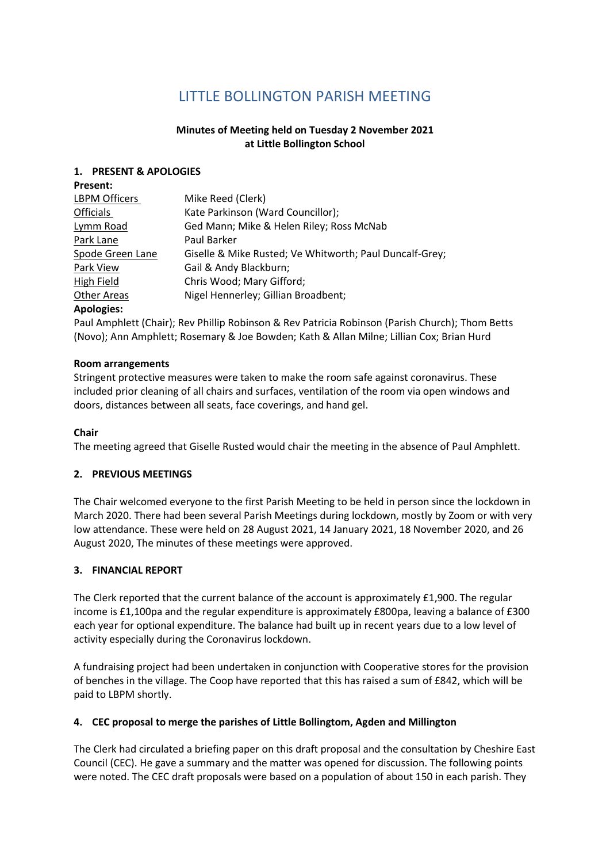# **LITTLE BOLLINGTON PARISH MEETING**

# **Minutes of Meeting held on Tuesday 2 November 2021 at Little Bollington School**

#### **1. PRESENT & APOLOGIES**

| <b>Present:</b>      |                                                         |
|----------------------|---------------------------------------------------------|
| <b>LBPM Officers</b> | Mike Reed (Clerk)                                       |
| <b>Officials</b>     | Kate Parkinson (Ward Councillor);                       |
| Lymm Road            | Ged Mann; Mike & Helen Riley; Ross McNab                |
| Park Lane            | Paul Barker                                             |
| Spode Green Lane     | Giselle & Mike Rusted; Ve Whitworth; Paul Duncalf-Grey; |
| Park View            | Gail & Andy Blackburn;                                  |
| High Field           | Chris Wood; Mary Gifford;                               |
| <b>Other Areas</b>   | Nigel Hennerley; Gillian Broadbent;                     |
| <b>Apologies:</b>    |                                                         |

Paul Amphlett (Chair); Rev Phillip Robinson & Rev Patricia Robinson (Parish Church); Thom Betts (Novo); Ann Amphlett; Rosemary & Joe Bowden; Kath & Allan Milne; Lillian Cox; Brian Hurd

#### **Room arrangements**

Stringent protective measures were taken to make the room safe against coronavirus. These included prior cleaning of all chairs and surfaces, ventilation of the room via open windows and doors, distances between all seats, face coverings, and hand gel.

#### **Chair**

The meeting agreed that Giselle Rusted would chair the meeting in the absence of Paul Amphlett.

#### **2. PREVIOUS MEETINGS**

The Chair welcomed everyone to the first Parish Meeting to be held in person since the lockdown in March 2020. There had been several Parish Meetings during lockdown, mostly by Zoom or with very low attendance. These were held on 28 August 2021, 14 January 2021, 18 November 2020, and 26 August 2020, The minutes of these meetings were approved.

#### **3. FINANCIAL REPORT**

The Clerk reported that the current balance of the account is approximately £1,900. The regular income is £1,100pa and the regular expenditure is approximately £800pa, leaving a balance of £300 each year for optional expenditure. The balance had built up in recent years due to a low level of activity especially during the Coronavirus lockdown.

A fundraising project had been undertaken in conjunction with Cooperative stores for the provision of benches in the village. The Coop have reported that this has raised a sum of £842, which will be paid to LBPM shortly.

#### **4. CEC proposal to merge the parishes of Little Bollingtom, Agden and Millington**

The Clerk had circulated a briefing paper on this draft proposal and the consultation by Cheshire East Council (CEC). He gave a summary and the matter was opened for discussion. The following points were noted. The CEC draft proposals were based on a population of about 150 in each parish. They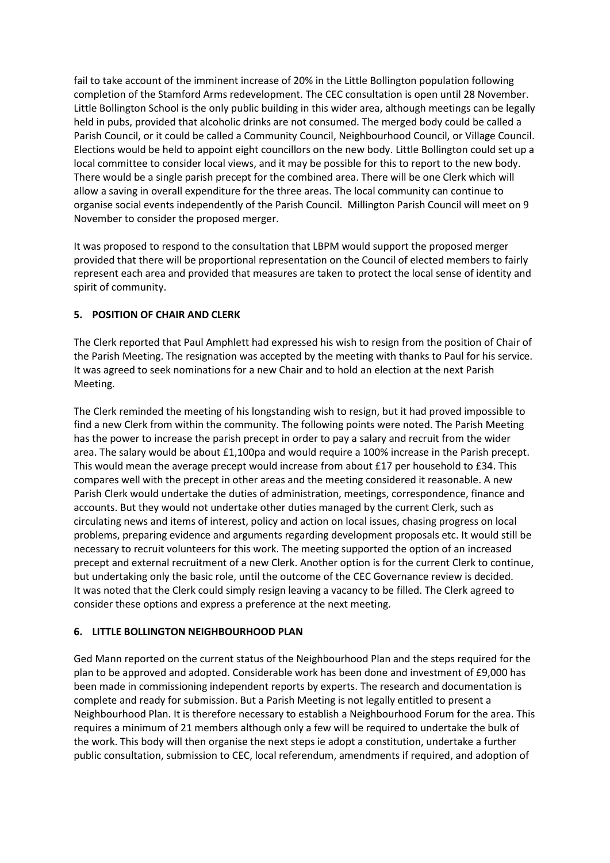fail to take account of the imminent increase of 20% in the Little Bollington population following completion of the Stamford Arms redevelopment. The CEC consultation is open until 28 November. Little Bollington School is the only public building in this wider area, although meetings can be legally held in pubs, provided that alcoholic drinks are not consumed. The merged body could be called a Parish Council, or it could be called a Community Council, Neighbourhood Council, or Village Council. Elections would be held to appoint eight councillors on the new body. Little Bollington could set up a local committee to consider local views, and it may be possible for this to report to the new body. There would be a single parish precept for the combined area. There will be one Clerk which will allow a saving in overall expenditure for the three areas. The local community can continue to organise social events independently of the Parish Council. Millington Parish Council will meet on 9 November to consider the proposed merger.

It was proposed to respond to the consultation that LBPM would support the proposed merger provided that there will be proportional representation on the Council of elected members to fairly represent each area and provided that measures are taken to protect the local sense of identity and spirit of community.

#### **5. POSITION OF CHAIR AND CLERK**

The Clerk reported that Paul Amphlett had expressed his wish to resign from the position of Chair of the Parish Meeting. The resignation was accepted by the meeting with thanks to Paul for his service. It was agreed to seek nominations for a new Chair and to hold an election at the next Parish Meeting.

The Clerk reminded the meeting of his longstanding wish to resign, but it had proved impossible to find a new Clerk from within the community. The following points were noted. The Parish Meeting has the power to increase the parish precept in order to pay a salary and recruit from the wider area. The salary would be about £1,100pa and would require a 100% increase in the Parish precept. This would mean the average precept would increase from about £17 per household to £34. This compares well with the precept in other areas and the meeting considered it reasonable. A new Parish Clerk would undertake the duties of administration, meetings, correspondence, finance and accounts. But they would not undertake other duties managed by the current Clerk, such as circulating news and items of interest, policy and action on local issues, chasing progress on local problems, preparing evidence and arguments regarding development proposals etc. It would still be necessary to recruit volunteers for this work. The meeting supported the option of an increased precept and external recruitment of a new Clerk. Another option is for the current Clerk to continue, but undertaking only the basic role, until the outcome of the CEC Governance review is decided. It was noted that the Clerk could simply resign leaving a vacancy to be filled. The Clerk agreed to consider these options and express a preference at the next meeting.

#### **6. LITTLE BOLLINGTON NEIGHBOURHOOD PLAN**

Ged Mann reported on the current status of the Neighbourhood Plan and the steps required for the plan to be approved and adopted. Considerable work has been done and investment of £9,000 has been made in commissioning independent reports by experts. The research and documentation is complete and ready for submission. But a Parish Meeting is not legally entitled to present a Neighbourhood Plan. It is therefore necessary to establish a Neighbourhood Forum for the area. This requires a minimum of 21 members although only a few will be required to undertake the bulk of the work. This body will then organise the next steps ie adopt a constitution, undertake a further public consultation, submission to CEC, local referendum, amendments if required, and adoption of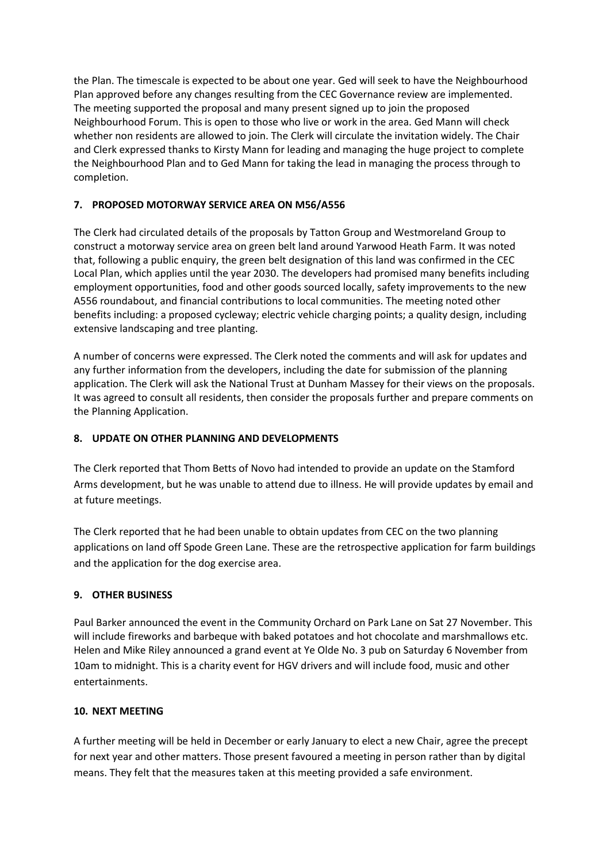the Plan. The timescale is expected to be about one year. Ged will seek to have the Neighbourhood Plan approved before any changes resulting from the CEC Governance review are implemented. The meeting supported the proposal and many present signed up to join the proposed Neighbourhood Forum. This is open to those who live or work in the area. Ged Mann will check whether non residents are allowed to join. The Clerk will circulate the invitation widely. The Chair and Clerk expressed thanks to Kirsty Mann for leading and managing the huge project to complete the Neighbourhood Plan and to Ged Mann for taking the lead in managing the process through to completion.

# **7. PROPOSED MOTORWAY SERVICE AREA ON M56/A556**

The Clerk had circulated details of the proposals by Tatton Group and Westmoreland Group to construct a motorway service area on green belt land around Yarwood Heath Farm. It was noted that, following a public enquiry, the green belt designation of this land was confirmed in the CEC Local Plan, which applies until the year 2030. The developers had promised many benefits including employment opportunities, food and other goods sourced locally, safety improvements to the new A556 roundabout, and financial contributions to local communities. The meeting noted other benefits including: a proposed cycleway; electric vehicle charging points; a quality design, including extensive landscaping and tree planting.

A number of concerns were expressed. The Clerk noted the comments and will ask for updates and any further information from the developers, including the date for submission of the planning application. The Clerk will ask the National Trust at Dunham Massey for their views on the proposals. It was agreed to consult all residents, then consider the proposals further and prepare comments on the Planning Application.

# **8. UPDATE ON OTHER PLANNING AND DEVELOPMENTS**

The Clerk reported that Thom Betts of Novo had intended to provide an update on the Stamford Arms development, but he was unable to attend due to illness. He will provide updates by email and at future meetings.

The Clerk reported that he had been unable to obtain updates from CEC on the two planning applications on land off Spode Green Lane. These are the retrospective application for farm buildings and the application for the dog exercise area.

# **9. OTHER BUSINESS**

Paul Barker announced the event in the Community Orchard on Park Lane on Sat 27 November. This will include fireworks and barbeque with baked potatoes and hot chocolate and marshmallows etc. Helen and Mike Riley announced a grand event at Ye Olde No. 3 pub on Saturday 6 November from 10am to midnight. This is a charity event for HGV drivers and will include food, music and other entertainments.

# **10. NEXT MEETING**

A further meeting will be held in December or early January to elect a new Chair, agree the precept for next year and other matters. Those present favoured a meeting in person rather than by digital means. They felt that the measures taken at this meeting provided a safe environment.